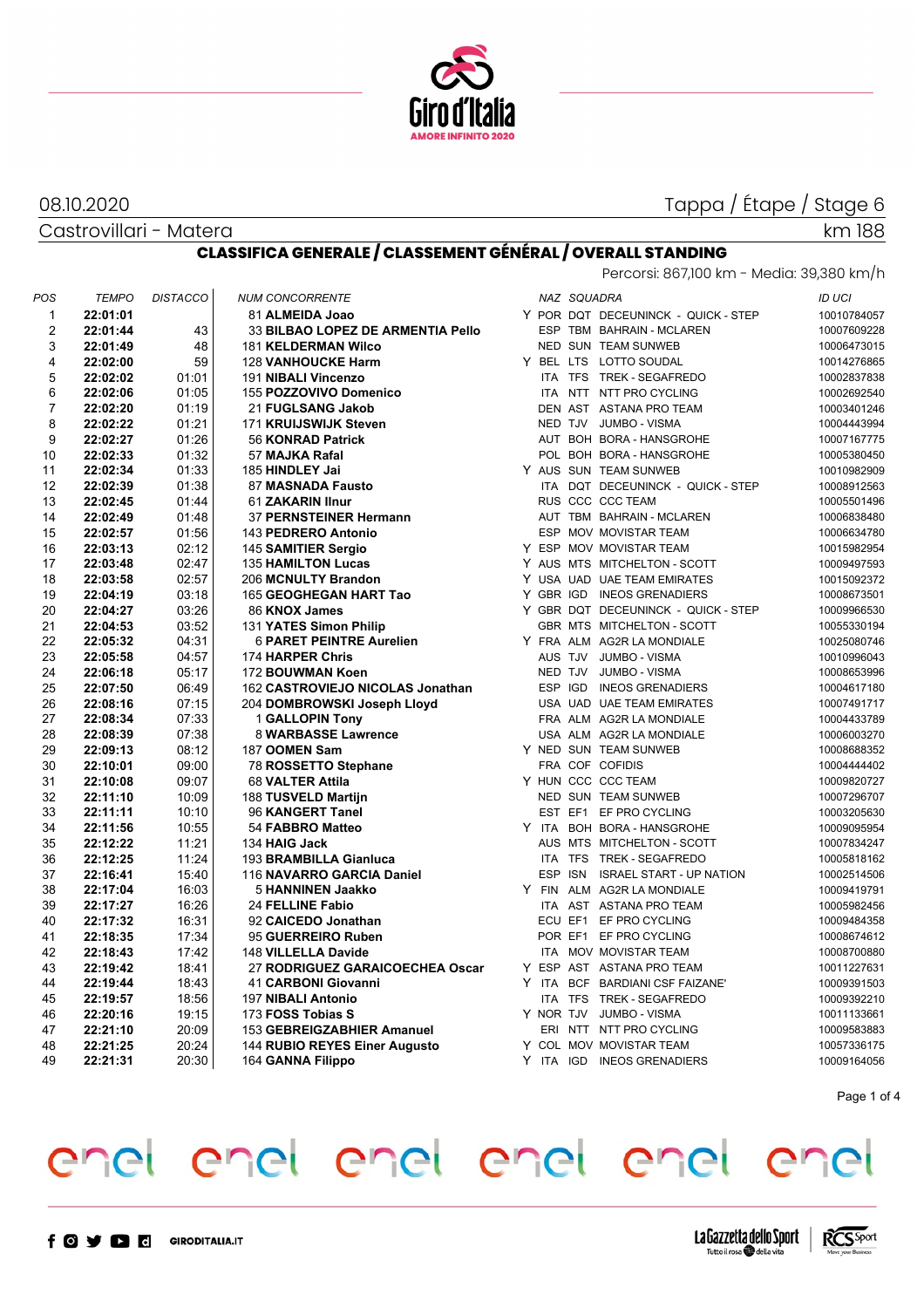

#### 08.10.2020

Castrovillari - Matera

## Tappa / Étape / Stage 6

#### **CLASSIFICA GENERALE / CLASSEMENT GÉNÉRAL / OVERALL STANDING** Percorsi: 867,100 km - Media: 39,380 km/h

| POS                     | <b>TEMPO</b>         | <b>DISTACCO</b> | <b>NUM CONCORRENTE</b>                   |                     | NAZ SQUADRA |                                     | <b>ID UCI</b> |             |
|-------------------------|----------------------|-----------------|------------------------------------------|---------------------|-------------|-------------------------------------|---------------|-------------|
| 1                       | 22:01:01             |                 | 81 ALMEIDA Joao                          |                     |             | Y POR DQT DECEUNINCK - QUICK - STEP |               | 10010784057 |
| $\overline{\mathbf{c}}$ | 22:01:44             | 43              | 33 BILBAO LOPEZ DE ARMENTIA Pello        |                     |             | ESP TBM BAHRAIN - MCLAREN           |               | 10007609228 |
| 3                       | 22:01:49             | 48              | <b>181 KELDERMAN Wilco</b>               |                     |             | NED SUN TEAM SUNWEB                 |               | 10006473015 |
| 4                       | 22:02:00             | 59              | <b>128 VANHOUCKE Harm</b>                |                     |             | Y BEL LTS LOTTO SOUDAL              |               | 10014276865 |
| 5                       | 22:02:02             | 01:01           | 191 NIBALI Vincenzo                      |                     |             | ITA TFS TREK - SEGAFREDO            |               | 10002837838 |
| 6                       | 22:02:06             | 01:05           | 155 POZZOVIVO Domenico                   |                     |             | ITA NTT NTT PRO CYCLING             |               | 10002692540 |
| 7                       | 22:02:20             | 01:19           | 21 FUGLSANG Jakob                        |                     |             | DEN AST ASTANA PRO TEAM             |               | 10003401246 |
| 8                       | 22:02:22             | 01:21           | 171 KRUIJSWIJK Steven                    |                     |             | NED TJV JUMBO - VISMA               |               | 10004443994 |
| 9                       | 22:02:27             | 01:26           | 56 KONRAD Patrick                        |                     |             | AUT BOH BORA - HANSGROHE            |               | 10007167775 |
| 10                      | 22:02:33             | 01:32           | 57 MAJKA Rafal                           |                     |             | POL BOH BORA - HANSGROHE            |               | 10005380450 |
| 11                      | 22:02:34             | 01:33           | 185 HINDLEY Jai                          |                     |             | Y AUS SUN TEAM SUNWEB               |               | 10010982909 |
| 12                      | 22:02:39             | 01:38           | 87 MASNADA Fausto                        |                     |             | ITA DQT DECEUNINCK - QUICK - STEP   |               | 10008912563 |
| 13                      | 22:02:45             | 01:44           | 61 ZAKARIN Ilnur                         |                     |             | RUS CCC CCC TEAM                    |               | 10005501496 |
| 14                      | 22:02:49             | 01:48           | 37 PERNSTEINER Hermann                   |                     |             | AUT TBM BAHRAIN - MCLAREN           |               | 10006838480 |
| 15                      | 22:02:57             | 01:56           | 143 PEDRERO Antonio                      |                     |             | ESP MOV MOVISTAR TEAM               |               | 10006634780 |
| 16                      | 22:03:13             | 02:12           | 145 SAMITIER Sergio                      |                     |             | Y ESP MOV MOVISTAR TEAM             |               | 10015982954 |
| 17                      | 22:03:48             | 02:47           | <b>135 HAMILTON Lucas</b>                |                     |             | Y AUS MTS MITCHELTON - SCOTT        |               | 10009497593 |
| 18                      | 22:03:58             | 02:57           | 206 MCNULTY Brandon                      |                     |             | Y USA UAD UAE TEAM EMIRATES         |               | 10015092372 |
| 19                      | 22:04:19             | 03:18           | 165 GEOGHEGAN HART Tao                   |                     |             | Y GBR IGD INEOS GRENADIERS          |               | 10008673501 |
| 20                      | 22:04:27             | 03:26           | 86 KNOX James                            |                     |             | Y GBR DQT DECEUNINCK - QUICK - STEP |               | 10009966530 |
| 21                      | 22:04:53             | 03:52           | 131 YATES Simon Philip                   |                     |             | GBR MTS MITCHELTON - SCOTT          |               | 10055330194 |
| 22                      | 22:05:32             | 04:31           | <b>6 PARET PEINTRE Aurelien</b>          |                     |             | Y FRA ALM AG2R LA MONDIALE          |               | 10025080746 |
| 23                      | 22:05:58             | 04:57           | 174 HARPER Chris                         |                     | AUS TJV     | JUMBO - VISMA                       |               | 10010996043 |
| 24                      | 22:06:18             | 05:17           | 172 BOUWMAN Koen                         |                     | NED TJV     | <b>JUMBO - VISMA</b>                |               | 10008653996 |
| 25                      | 22:07:50             | 06:49           | 162 CASTROVIEJO NICOLAS Jonathan         |                     | ESP IGD     | <b>INEOS GRENADIERS</b>             |               | 10004617180 |
| 26                      | 22:08:16             | 07:15           | 204 DOMBROWSKI Joseph Lloyd              |                     |             | USA UAD UAE TEAM EMIRATES           |               | 10007491717 |
| 27                      | 22:08:34             | 07:33           | 1 GALLOPIN Tony                          |                     |             | FRA ALM AG2R LA MONDIALE            |               | 10004433789 |
| 28                      | 22:08:39             | 07:38           | 8 WARBASSE Lawrence                      |                     |             | USA ALM AG2R LA MONDIALE            |               | 10006003270 |
| 29                      | 22:09:13             | 08:12           | 187 OOMEN Sam                            |                     |             | Y NED SUN TEAM SUNWEB               |               | 10008688352 |
| 30                      | 22:10:01             | 09:00           |                                          |                     |             | FRA COF COFIDIS                     |               | 10004444402 |
| 31                      | 22:10:08             | 09:07           | 78 ROSSETTO Stephane<br>68 VALTER Attila |                     |             | Y HUN CCC CCC TEAM                  |               | 10009820727 |
| 32                      | 22:11:10             | 10:09           | 188 TUSVELD Martijn                      |                     |             | NED SUN TEAM SUNWEB                 |               | 10007296707 |
| 33                      | 22:11:11             | 10:10           | 96 KANGERT Tanel                         |                     |             | EST EF1 EF PRO CYCLING              |               | 10003205630 |
| 34                      |                      | 10:55           | 54 FABBRO Matteo                         |                     |             | Y ITA BOH BORA - HANSGROHE          |               | 10009095954 |
| 35                      | 22:11:56<br>22:12:22 | 11:21           |                                          |                     |             | AUS MTS MITCHELTON - SCOTT          |               |             |
|                         |                      |                 | 134 HAIG Jack                            |                     |             |                                     |               | 10007834247 |
| 36                      | 22:12:25             | 11:24           | 193 BRAMBILLA Gianluca                   |                     |             | ITA TFS TREK - SEGAFREDO            |               | 10005818162 |
| 37                      | 22:16:41             | 15:40           | 116 NAVARRO GARCIA Daniel                | <b>ESP</b><br>Y FIN |             | ISN ISRAEL START - UP NATION        |               | 10002514506 |
| 38                      | 22:17:04             | 16:03           | 5 HANNINEN Jaakko                        |                     |             | ALM AG2R LA MONDIALE                |               | 10009419791 |
| 39                      | 22:17:27             | 16:26           | <b>24 FELLINE Fabio</b>                  |                     |             | ITA AST ASTANA PRO TEAM             |               | 10005982456 |
| 40                      | 22:17:32             | 16:31           | 92 CAICEDO Jonathan                      |                     |             | ECU EF1 EF PRO CYCLING              |               | 10009484358 |
| 41                      | 22:18:35             | 17:34           | 95 GUERREIRO Ruben                       |                     |             | POR EF1 EF PRO CYCLING              |               | 10008674612 |
| 42                      | 22:18:43             | 17:42           | 148 VILLELLA Davide                      |                     |             | ITA MOV MOVISTAR TEAM               |               | 10008700880 |
| 43                      | 22:19:42             | 18:41           | 27 RODRIGUEZ GARAICOECHEA Oscar          |                     |             | Y ESP AST ASTANA PRO TEAM           |               | 10011227631 |
| 44                      | 22:19:44             | 18:43           | 41 CARBONI Giovanni                      |                     |             | Y ITA BCF BARDIANI CSF FAIZANE'     |               | 10009391503 |
| 45                      | 22:19:57             | 18:56           | <b>197 NIBALI Antonio</b>                |                     |             | ITA TFS TREK - SEGAFREDO            |               | 10009392210 |
| 46                      | 22:20:16             | 19:15           | 173 FOSS Tobias S                        |                     |             | Y NOR TJV JUMBO - VISMA             |               | 10011133661 |
| 47                      | 22:21:10             | 20:09           | 153 GEBREIGZABHIER Amanuel               |                     |             | ERI NTT NTT PRO CYCLING             |               | 10009583883 |
| 48                      | 22:21:25             | 20:24           | 144 RUBIO REYES Einer Augusto            |                     |             | Y COL MOV MOVISTAR TEAM             |               | 10057336175 |
| 49                      | 22:21:31             | 20:30           | 164 GANNA Filippo                        |                     |             | Y ITA IGD INEOS GRENADIERS          |               | 10009164056 |

Page 1 of 4

## enel enel enel enel enel enel

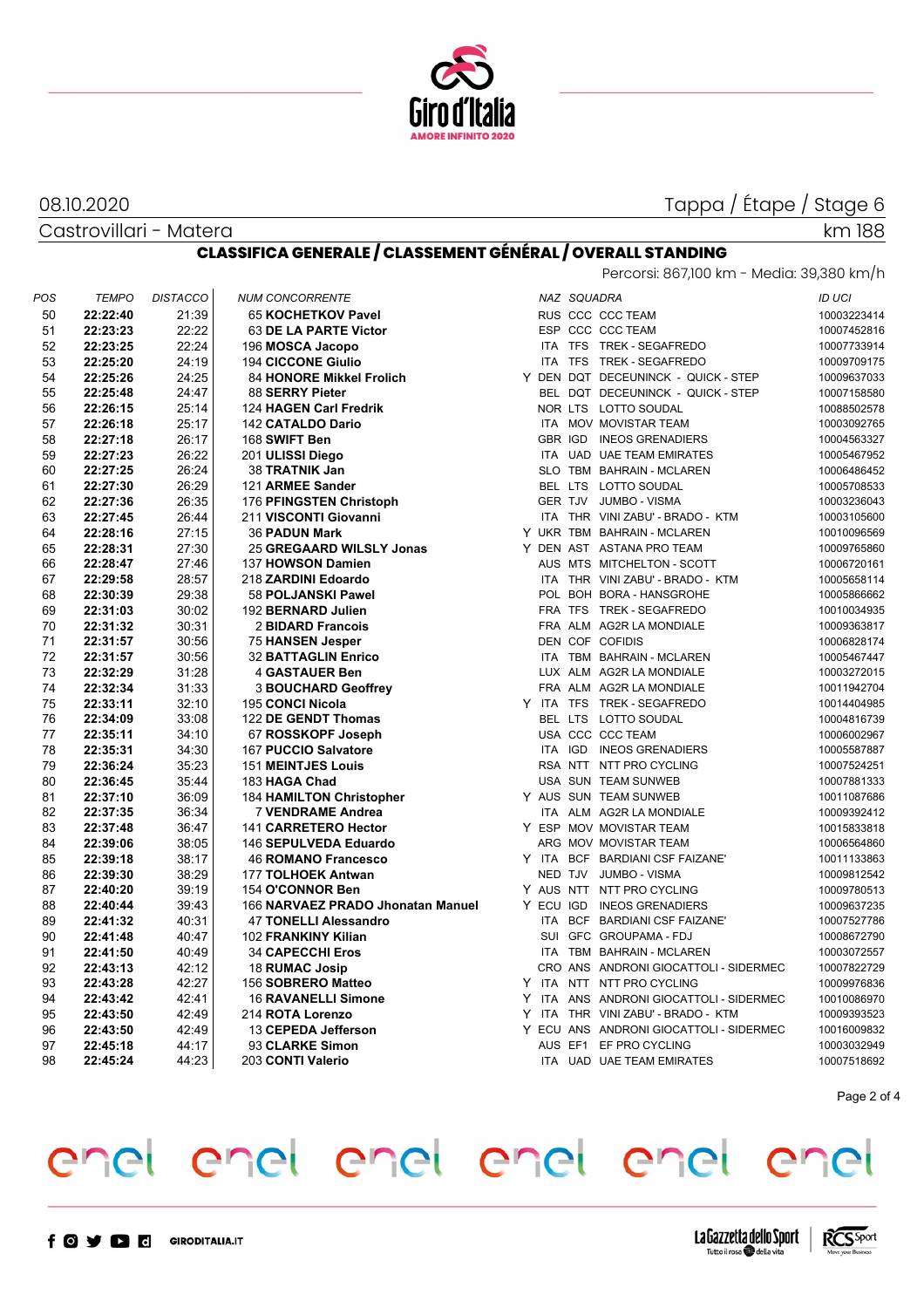

## Tappa / Étape / Stage 6

08.10.2020

Castrovillari - Matera

## km 188

### **CLASSIFICA GENERALE / CLASSEMENT GÉNÉRAL / OVERALL STANDING**

| POS | <b>TEMPO</b> | <b>DISTACCO</b> | <b>NUM CONCORRENTE</b>            |  | NAZ SQUADRA |                                         | <b>ID UCI</b> |
|-----|--------------|-----------------|-----------------------------------|--|-------------|-----------------------------------------|---------------|
| 50  | 22:22:40     | 21:39           | 65 KOCHETKOV Pavel                |  |             | RUS CCC CCC TEAM                        | 10003223414   |
| 51  | 22:23:23     | 22:22           | 63 DE LA PARTE Victor             |  |             | ESP CCC CCC TEAM                        | 10007452816   |
| 52  | 22:23:25     | 22:24           | 196 MOSCA Jacopo                  |  |             | ITA TFS TREK - SEGAFREDO                | 10007733914   |
| 53  | 22:25:20     | 24:19           | <b>194 CICCONE Giulio</b>         |  |             | ITA TFS TREK - SEGAFREDO                | 10009709175   |
| 54  | 22:25:26     | 24:25           | 84 HONORE Mikkel Frolich          |  |             | Y DEN DQT DECEUNINCK - QUICK - STEP     | 10009637033   |
| 55  | 22:25:48     | 24:47           | 88 SERRY Pieter                   |  |             | BEL DQT DECEUNINCK - QUICK - STEP       | 10007158580   |
| 56  | 22:26:15     | 25:14           | 124 HAGEN Carl Fredrik            |  |             | NOR LTS LOTTO SOUDAL                    | 10088502578   |
| 57  | 22:26:18     | 25:17           | <b>142 CATALDO Dario</b>          |  |             | ITA MOV MOVISTAR TEAM                   | 10003092765   |
| 58  | 22:27:18     | 26:17           | 168 SWIFT Ben                     |  |             | GBR IGD INEOS GRENADIERS                | 10004563327   |
| 59  | 22:27:23     | 26:22           | 201 ULISSI Diego                  |  |             | ITA UAD UAE TEAM EMIRATES               | 10005467952   |
| 60  | 22:27:25     | 26:24           | 38 TRATNIK Jan                    |  |             | SLO TBM BAHRAIN - MCLAREN               | 10006486452   |
| 61  | 22:27:30     | 26:29           | 121 ARMEE Sander                  |  |             | BEL LTS LOTTO SOUDAL                    | 10005708533   |
| 62  | 22:27:36     | 26:35           | 176 PFINGSTEN Christoph           |  |             | GER TJV JUMBO - VISMA                   | 10003236043   |
| 63  | 22:27:45     | 26:44           | 211 VISCONTI Giovanni             |  |             | ITA THR VINI ZABU' - BRADO - KTM        | 10003105600   |
| 64  | 22:28:16     | 27:15           | <b>36 PADUN Mark</b>              |  |             | Y UKR TBM BAHRAIN - MCLAREN             | 10010096569   |
| 65  | 22:28:31     | 27:30           | 25 GREGAARD WILSLY Jonas          |  |             | Y DEN AST ASTANA PRO TEAM               | 10009765860   |
| 66  | 22:28:47     | 27:46           | 137 HOWSON Damien                 |  |             | AUS MTS MITCHELTON - SCOTT              | 10006720161   |
| 67  | 22:29:58     | 28:57           | 218 ZARDINI Edoardo               |  |             | ITA THR VINI ZABU' - BRADO - KTM        | 10005658114   |
| 68  | 22:30:39     | 29:38           | 58 POLJANSKI Pawel                |  |             | POL BOH BORA - HANSGROHE                | 10005866662   |
| 69  | 22:31:03     | 30:02           | 192 BERNARD Julien                |  |             | FRA TFS TREK - SEGAFREDO                | 10010034935   |
| 70  | 22:31:32     | 30:31           | 2 BIDARD Francois                 |  |             | FRA ALM AG2R LA MONDIALE                | 10009363817   |
| 71  | 22:31:57     | 30:56           | <b>75 HANSEN Jesper</b>           |  |             | DEN COF COFIDIS                         | 10006828174   |
| 72  | 22:31:57     | 30:56           | <b>32 BATTAGLIN Enrico</b>        |  |             | ITA TBM BAHRAIN - MCLAREN               | 10005467447   |
| 73  | 22:32:29     | 31:28           | <b>4 GASTAUER Ben</b>             |  |             | LUX ALM AG2R LA MONDIALE                | 10003272015   |
| 74  | 22:32:34     | 31:33           | <b>3 BOUCHARD Geoffrey</b>        |  |             | FRA ALM AG2R LA MONDIALE                | 10011942704   |
| 75  | 22:33:11     | 32:10           | 195 CONCI Nicola                  |  |             | Y ITA TFS TREK-SEGAFREDO                | 10014404985   |
| 76  | 22:34:09     | 33:08           | 122 DE GENDT Thomas               |  |             | BEL LTS LOTTO SOUDAL                    | 10004816739   |
| 77  | 22:35:11     | 34:10           | 67 ROSSKOPF Joseph                |  |             | USA CCC CCC TEAM                        | 10006002967   |
| 78  | 22:35:31     | 34:30           | 167 PUCCIO Salvatore              |  |             | ITA IGD INEOS GRENADIERS                | 10005587887   |
| 79  | 22:36:24     | 35:23           | <b>151 MEINTJES Louis</b>         |  |             | RSA NTT NTT PRO CYCLING                 | 10007524251   |
| 80  | 22:36:45     | 35:44           | 183 HAGA Chad                     |  |             | USA SUN TEAM SUNWEB                     | 10007881333   |
| 81  | 22:37:10     | 36:09           | <b>184 HAMILTON Christopher</b>   |  |             | Y AUS SUN TEAM SUNWEB                   | 10011087686   |
| 82  | 22:37:35     | 36:34           | 7 VENDRAME Andrea                 |  |             | ITA ALM AG2R LA MONDIALE                | 10009392412   |
| 83  | 22:37:48     | 36:47           | 141 CARRETERO Hector              |  |             | Y ESP MOV MOVISTAR TEAM                 | 10015833818   |
| 84  | 22:39:06     | 38:05           | 146 SEPULVEDA Eduardo             |  |             | ARG MOV MOVISTAR TEAM                   | 10006564860   |
| 85  | 22:39:18     | 38:17           | <b>46 ROMANO Francesco</b>        |  |             | Y ITA BCF BARDIANI CSF FAIZANE'         | 10011133863   |
| 86  | 22:39:30     | 38:29           | 177 TOLHOEK Antwan                |  |             | NED TJV JUMBO - VISMA                   | 10009812542   |
| 87  | 22:40:20     | 39:19           | 154 O'CONNOR Ben                  |  |             | Y AUS NTT NTT PRO CYCLING               | 10009780513   |
| 88  | 22:40:44     | 39:43           | 166 NARVAEZ PRADO Jhonatan Manuel |  |             | Y ECU IGD INEOS GRENADIERS              | 10009637235   |
| 89  | 22:41:32     | 40:31           | <b>47 TONELLI Alessandro</b>      |  |             | ITA BCF BARDIANI CSF FAIZANE'           | 10007527786   |
| 90  | 22:41:48     | 40:47           | 102 FRANKINY Kilian               |  |             | SUI GFC GROUPAMA - FDJ                  | 10008672790   |
| 91  | 22:41:50     | 40:49           | <b>34 CAPECCHI Eros</b>           |  |             | ITA TBM BAHRAIN - MCLAREN               | 10003072557   |
| 92  | 22:43:13     | 42:12           | 18 RUMAC Josip                    |  |             | CRO ANS ANDRONI GIOCATTOLI - SIDERMEC   | 10007822729   |
| 93  | 22:43:28     | 42:27           | 156 SOBRERO Matteo                |  |             | Y ITA NTT NTT PRO CYCLING               | 10009976836   |
| 94  | 22:43:42     | 42:41           | <b>16 RAVANELLI Simone</b>        |  |             | Y ITA ANS ANDRONI GIOCATTOLI - SIDERMEC | 10010086970   |
| 95  | 22:43:50     | 42:49           | 214 ROTA Lorenzo                  |  |             | Y ITA THR VINI ZABU' - BRADO - KTM      | 10009393523   |
| 96  | 22:43:50     | 42:49           | 13 CEPEDA Jefferson               |  |             | Y ECU ANS ANDRONI GIOCATTOLI - SIDERMEC | 10016009832   |
| 97  | 22:45:18     |                 | 93 CLARKE Simon                   |  |             | AUS EF1 EF PRO CYCLING                  |               |
|     |              | 44:17           |                                   |  |             |                                         | 10003032949   |
| 98  | 22:45:24     | 44:23           | 203 CONTI Valerio                 |  |             | ITA UAD UAE TEAM EMIRATES               | 10007518692   |

Page 2 of 4

## enel enel enel enel enel enel

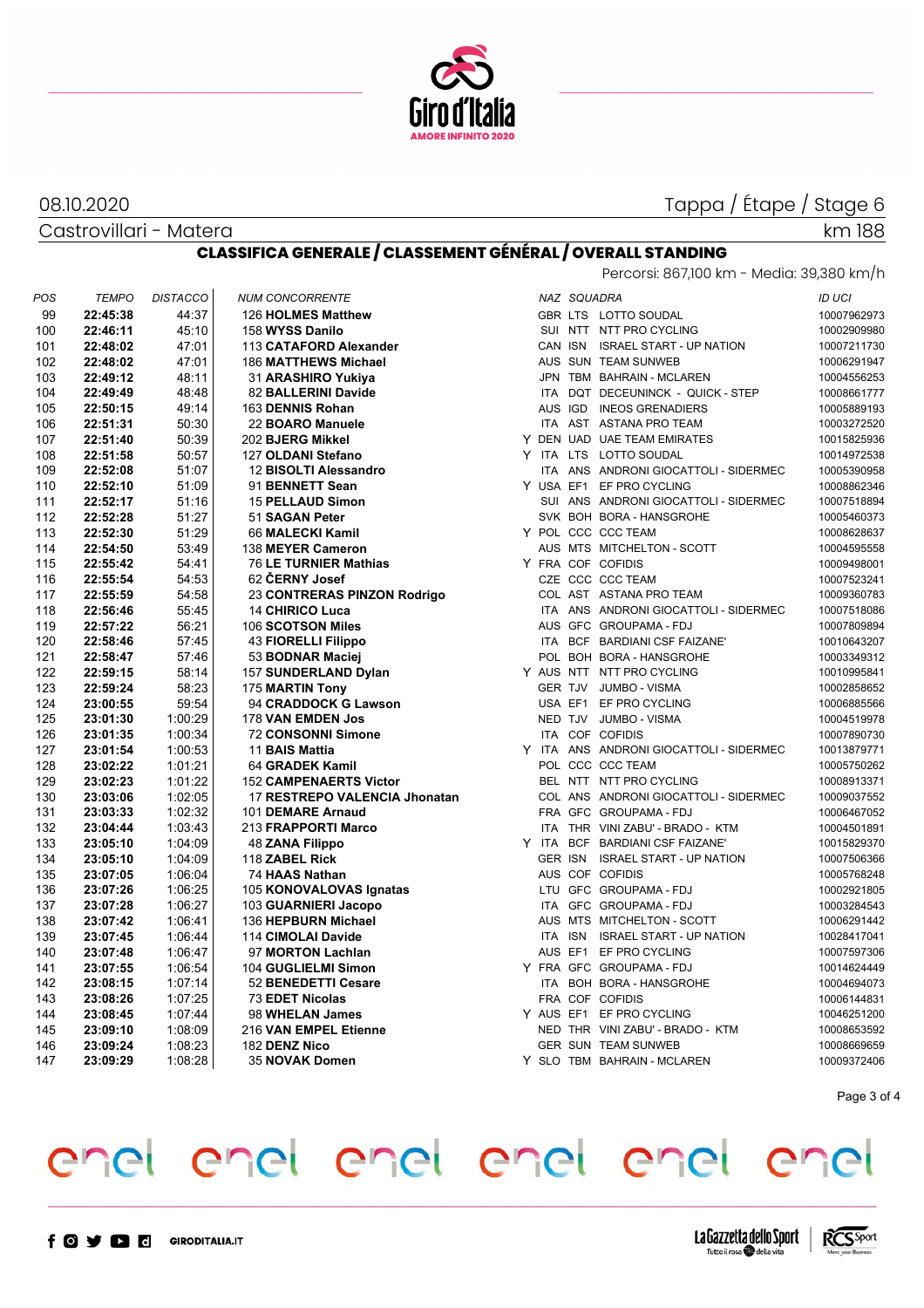

#### 08.10.2020

Castrovillari - Matera

## Tappa / Étape / Stage 6

#### km 188

### **CLASSIFICA GENERALE / CLASSEMENT GÉNÉRAL / OVERALL STANDING**

| Percorsi: 867,100 km - Media: 39,380 km/h |  |  |  |
|-------------------------------------------|--|--|--|
|                                           |  |  |  |

| 99<br>22:45:38<br>44:37<br>126 HOLMES Matthew<br>GBR LTS LOTTO SOUDAL<br>45:10<br>SUI NTT NTT PRO CYCLING<br>100<br>22:46:11<br>158 WYSS Danilo<br>10002909980<br>47:01<br>CAN ISN ISRAEL START - UP NATION<br>22:48:02<br>113 CATAFORD Alexander<br>101<br>47:01<br>AUS SUN TEAM SUNWEB<br>102<br>22:48:02<br><b>186 MATTHEWS Michael</b><br>10006291947<br>JPN TBM BAHRAIN - MCLAREN<br>103<br>22:49:12<br>48:11<br>31 ARASHIRO Yukiya<br>10004556253<br>ITA DQT DECEUNINCK - QUICK - STEP<br>104<br>22:49:49<br>48:48<br>82 BALLERINI Davide<br>10008661777<br>AUS IGD INEOS GRENADIERS<br>105<br>49:14<br>163 DENNIS Rohan<br>10005889193<br>22:50:15<br>ITA AST ASTANA PRO TEAM<br>106<br>22:51:31<br>50:30<br>22 BOARO Manuele<br>10003272520<br>Y DEN UAD UAE TEAM EMIRATES<br>107<br>50:39<br>202 BJERG Mikkel<br>10015825936<br>22:51:40<br>108<br>50:57<br>Y ITA LTS LOTTO SOUDAL<br>10014972538<br>22:51:58<br>127 OLDANI Stefano<br>109<br>51:07<br>ITA ANS ANDRONI GIOCATTOLI - SIDERMEC<br>10005390958<br>22:52:08<br>12 BISOLTI Alessandro<br>51:09<br>Y USA EF1 EF PRO CYCLING<br>110<br>22:52:10<br>91 BENNETT Sean<br>111<br>22:52:17<br>51:16<br><b>15 PELLAUD Simon</b><br>SUI ANS ANDRONI GIOCATTOLI - SIDERMEC<br>10007518894<br>SVK BOH BORA - HANSGROHE<br>112<br>22:52:28<br>51:27<br>51 SAGAN Peter<br>10005460373<br>Y POL CCC CCC TEAM<br>113<br>22:52:30<br>51:29<br>66 MALECKI Kamil<br>10008628637<br>114<br>22:54:50<br>53:49<br>138 MEYER Cameron<br>AUS MTS MITCHELTON - SCOTT<br>115<br>22:55:42<br>54:41<br>76 LE TURNIER Mathias<br>Y FRA COF COFIDIS<br>54:53<br>62 ČERNY Josef<br>CZE CCC CCC TEAM<br>116<br>10007523241<br>22:55:54<br>117<br>54:58<br>23 CONTRERAS PINZON Rodrigo<br>COL AST ASTANA PRO TEAM<br>10009360783<br>22:55:59<br>118<br>22:56:46<br>ITA ANS ANDRONI GIOCATTOLI - SIDERMEC<br>55:45<br>14 CHIRICO Luca<br>10007518086<br>119<br>22:57:22<br>56:21<br>106 SCOTSON Miles<br>AUS GFC GROUPAMA - FDJ<br>10007809894<br>120<br>ITA BCF BARDIANI CSF FAIZANE'<br>22:58:46<br>57:45<br><b>43 FIORELLI Filippo</b><br>121<br>POL BOH BORA - HANSGROHE<br>22:58:47<br>57:46<br>53 BODNAR Maciej<br>10003349312<br>122<br>58:14<br>Y AUS NTT NTT PRO CYCLING<br>22:59:15<br>157 SUNDERLAND Dylan<br>10010995841<br>123<br>22:59:24<br>58:23<br>175 MARTIN Tony<br>GER TJV JUMBO - VISMA<br>10002858652<br>USA EF1 EF PRO CYCLING<br>124<br>23:00:55<br>59:54<br>94 CRADDOCK G Lawson<br>10006885566<br>125<br>NED TJV JUMBO - VISMA<br>23:01:30<br>1:00:29<br>178 VAN EMDEN Jos<br>10004519978<br>ITA COF COFIDIS<br>126<br>1:00:34<br>10007890730<br>23:01:35<br>72 CONSONNI Simone<br>Y ITA ANS ANDRONI GIOCATTOLI - SIDERMEC<br>127<br>10013879771<br>23:01:54<br>1:00:53<br>11 BAIS Mattia<br>128<br>23:02:22<br>1:01:21<br>POL CCC CCC TEAM<br>10005750262<br>64 GRADEK Kamil<br>129<br>23:02:23<br>1:01:22<br><b>152 CAMPENAERTS Victor</b><br>BEL NTT NTT PRO CYCLING<br>10008913371<br>COL ANS ANDRONI GIOCATTOLI - SIDERMEC<br>130<br>23:03:06<br>1:02:05<br>17 RESTREPO VALENCIA Jhonatan<br>10009037552<br>FRA GFC GROUPAMA - FDJ<br>131<br>23:03:33<br>1:02:32<br>101 DEMARE Arnaud<br>10006467052<br>ITA THR VINI ZABU' - BRADO - KTM<br>132<br>23:04:44<br>1:03:43<br>213 FRAPPORTI Marco<br>10004501891<br>Y ITA BCF BARDIANI CSF FAIZANE'<br>133<br>23:05:10<br>1:04:09<br>48 ZANA Filippo<br>10015829370<br>GER ISN ISRAEL START - UP NATION<br>134<br>23:05:10<br>1:04:09<br>118 ZABEL Rick<br>10007506366<br>135<br>AUS COF COFIDIS<br>23:07:05<br>1:06:04<br>10005768248<br>74 HAAS Nathan<br>LTU GFC GROUPAMA - FDJ<br>136<br>23:07:26<br>1:06:25<br>105 KONOVALOVAS Ignatas<br>10002921805<br>ITA GFC GROUPAMA-FDJ<br>137<br>23:07:28<br>1:06:27<br>10003284543<br>103 GUARNIERI Jacopo<br>AUS MTS MITCHELTON - SCOTT<br>138<br>23:07:42<br>1:06:41<br>136 HEPBURN Michael<br>10006291442<br>139<br>1:06:44<br>ITA ISN ISRAEL START - UP NATION<br>10028417041<br>23:07:45<br>114 CIMOLAI Davide<br>140<br>23:07:48<br>1:06:47<br>97 MORTON Lachlan<br>AUS EF1 EF PRO CYCLING<br>10007597306<br>141<br>23:07:55<br>Y FRA GFC GROUPAMA-FDJ<br>10014624449<br>1:06:54<br>104 GUGLIELMI Simon<br>142<br>ITA BOH BORA - HANSGROHE<br>23:08:15<br>1.07:14<br>52 BENEDETTI Cesare<br>10004694073<br>143<br>FRA COF COFIDIS<br>23:08:26<br>1:07:25<br>73 EDET Nicolas<br>10006144831<br>144<br>1:07:44<br>Y AUS EF1 EF PRO CYCLING<br>23:08:45<br>98 WHELAN James<br>10046251200<br>145<br>23:09:10<br>1:08:09<br>216 VAN EMPEL Etienne<br>NED THR VINI ZABU' - BRADO - KTM<br>10008653592<br><b>GER SUN TEAM SUNWEB</b><br>146<br>23:09:24<br>1:08:23<br>182 DENZ Nico<br>Y SLO TBM BAHRAIN - MCLAREN<br>147<br>23:09:29<br>1:08:28<br>35 NOVAK Domen<br>10009372406 | POS | <b>TEMPO</b> | <b>DISTACCO</b> | <b>NUM CONCORRENTE</b> |  | NAZ SQUADRA | <b>ID UCI</b> |
|----------------------------------------------------------------------------------------------------------------------------------------------------------------------------------------------------------------------------------------------------------------------------------------------------------------------------------------------------------------------------------------------------------------------------------------------------------------------------------------------------------------------------------------------------------------------------------------------------------------------------------------------------------------------------------------------------------------------------------------------------------------------------------------------------------------------------------------------------------------------------------------------------------------------------------------------------------------------------------------------------------------------------------------------------------------------------------------------------------------------------------------------------------------------------------------------------------------------------------------------------------------------------------------------------------------------------------------------------------------------------------------------------------------------------------------------------------------------------------------------------------------------------------------------------------------------------------------------------------------------------------------------------------------------------------------------------------------------------------------------------------------------------------------------------------------------------------------------------------------------------------------------------------------------------------------------------------------------------------------------------------------------------------------------------------------------------------------------------------------------------------------------------------------------------------------------------------------------------------------------------------------------------------------------------------------------------------------------------------------------------------------------------------------------------------------------------------------------------------------------------------------------------------------------------------------------------------------------------------------------------------------------------------------------------------------------------------------------------------------------------------------------------------------------------------------------------------------------------------------------------------------------------------------------------------------------------------------------------------------------------------------------------------------------------------------------------------------------------------------------------------------------------------------------------------------------------------------------------------------------------------------------------------------------------------------------------------------------------------------------------------------------------------------------------------------------------------------------------------------------------------------------------------------------------------------------------------------------------------------------------------------------------------------------------------------------------------------------------------------------------------------------------------------------------------------------------------------------------------------------------------------------------------------------------------------------------------------------------------------------------------------------------------------------------------------------------------------------------------------------------------------------------------------------------------------------------------------------------------------------------------------------------------------------------------------------------------------------------------------------------------------------------------------------------------------------------------------------------------------------------------------------------------------------------------------------------------------------------------------------------------------------------------------------------------------------------------------------------------------------|-----|--------------|-----------------|------------------------|--|-------------|---------------|
|                                                                                                                                                                                                                                                                                                                                                                                                                                                                                                                                                                                                                                                                                                                                                                                                                                                                                                                                                                                                                                                                                                                                                                                                                                                                                                                                                                                                                                                                                                                                                                                                                                                                                                                                                                                                                                                                                                                                                                                                                                                                                                                                                                                                                                                                                                                                                                                                                                                                                                                                                                                                                                                                                                                                                                                                                                                                                                                                                                                                                                                                                                                                                                                                                                                                                                                                                                                                                                                                                                                                                                                                                                                                                                                                                                                                                                                                                                                                                                                                                                                                                                                                                                                                                                                                                                                                                                                                                                                                                                                                                                                                                                                                                                                                              |     |              |                 |                        |  |             | 10007962973   |
|                                                                                                                                                                                                                                                                                                                                                                                                                                                                                                                                                                                                                                                                                                                                                                                                                                                                                                                                                                                                                                                                                                                                                                                                                                                                                                                                                                                                                                                                                                                                                                                                                                                                                                                                                                                                                                                                                                                                                                                                                                                                                                                                                                                                                                                                                                                                                                                                                                                                                                                                                                                                                                                                                                                                                                                                                                                                                                                                                                                                                                                                                                                                                                                                                                                                                                                                                                                                                                                                                                                                                                                                                                                                                                                                                                                                                                                                                                                                                                                                                                                                                                                                                                                                                                                                                                                                                                                                                                                                                                                                                                                                                                                                                                                                              |     |              |                 |                        |  |             |               |
|                                                                                                                                                                                                                                                                                                                                                                                                                                                                                                                                                                                                                                                                                                                                                                                                                                                                                                                                                                                                                                                                                                                                                                                                                                                                                                                                                                                                                                                                                                                                                                                                                                                                                                                                                                                                                                                                                                                                                                                                                                                                                                                                                                                                                                                                                                                                                                                                                                                                                                                                                                                                                                                                                                                                                                                                                                                                                                                                                                                                                                                                                                                                                                                                                                                                                                                                                                                                                                                                                                                                                                                                                                                                                                                                                                                                                                                                                                                                                                                                                                                                                                                                                                                                                                                                                                                                                                                                                                                                                                                                                                                                                                                                                                                                              |     |              |                 |                        |  |             | 10007211730   |
|                                                                                                                                                                                                                                                                                                                                                                                                                                                                                                                                                                                                                                                                                                                                                                                                                                                                                                                                                                                                                                                                                                                                                                                                                                                                                                                                                                                                                                                                                                                                                                                                                                                                                                                                                                                                                                                                                                                                                                                                                                                                                                                                                                                                                                                                                                                                                                                                                                                                                                                                                                                                                                                                                                                                                                                                                                                                                                                                                                                                                                                                                                                                                                                                                                                                                                                                                                                                                                                                                                                                                                                                                                                                                                                                                                                                                                                                                                                                                                                                                                                                                                                                                                                                                                                                                                                                                                                                                                                                                                                                                                                                                                                                                                                                              |     |              |                 |                        |  |             |               |
|                                                                                                                                                                                                                                                                                                                                                                                                                                                                                                                                                                                                                                                                                                                                                                                                                                                                                                                                                                                                                                                                                                                                                                                                                                                                                                                                                                                                                                                                                                                                                                                                                                                                                                                                                                                                                                                                                                                                                                                                                                                                                                                                                                                                                                                                                                                                                                                                                                                                                                                                                                                                                                                                                                                                                                                                                                                                                                                                                                                                                                                                                                                                                                                                                                                                                                                                                                                                                                                                                                                                                                                                                                                                                                                                                                                                                                                                                                                                                                                                                                                                                                                                                                                                                                                                                                                                                                                                                                                                                                                                                                                                                                                                                                                                              |     |              |                 |                        |  |             |               |
|                                                                                                                                                                                                                                                                                                                                                                                                                                                                                                                                                                                                                                                                                                                                                                                                                                                                                                                                                                                                                                                                                                                                                                                                                                                                                                                                                                                                                                                                                                                                                                                                                                                                                                                                                                                                                                                                                                                                                                                                                                                                                                                                                                                                                                                                                                                                                                                                                                                                                                                                                                                                                                                                                                                                                                                                                                                                                                                                                                                                                                                                                                                                                                                                                                                                                                                                                                                                                                                                                                                                                                                                                                                                                                                                                                                                                                                                                                                                                                                                                                                                                                                                                                                                                                                                                                                                                                                                                                                                                                                                                                                                                                                                                                                                              |     |              |                 |                        |  |             |               |
|                                                                                                                                                                                                                                                                                                                                                                                                                                                                                                                                                                                                                                                                                                                                                                                                                                                                                                                                                                                                                                                                                                                                                                                                                                                                                                                                                                                                                                                                                                                                                                                                                                                                                                                                                                                                                                                                                                                                                                                                                                                                                                                                                                                                                                                                                                                                                                                                                                                                                                                                                                                                                                                                                                                                                                                                                                                                                                                                                                                                                                                                                                                                                                                                                                                                                                                                                                                                                                                                                                                                                                                                                                                                                                                                                                                                                                                                                                                                                                                                                                                                                                                                                                                                                                                                                                                                                                                                                                                                                                                                                                                                                                                                                                                                              |     |              |                 |                        |  |             |               |
|                                                                                                                                                                                                                                                                                                                                                                                                                                                                                                                                                                                                                                                                                                                                                                                                                                                                                                                                                                                                                                                                                                                                                                                                                                                                                                                                                                                                                                                                                                                                                                                                                                                                                                                                                                                                                                                                                                                                                                                                                                                                                                                                                                                                                                                                                                                                                                                                                                                                                                                                                                                                                                                                                                                                                                                                                                                                                                                                                                                                                                                                                                                                                                                                                                                                                                                                                                                                                                                                                                                                                                                                                                                                                                                                                                                                                                                                                                                                                                                                                                                                                                                                                                                                                                                                                                                                                                                                                                                                                                                                                                                                                                                                                                                                              |     |              |                 |                        |  |             |               |
|                                                                                                                                                                                                                                                                                                                                                                                                                                                                                                                                                                                                                                                                                                                                                                                                                                                                                                                                                                                                                                                                                                                                                                                                                                                                                                                                                                                                                                                                                                                                                                                                                                                                                                                                                                                                                                                                                                                                                                                                                                                                                                                                                                                                                                                                                                                                                                                                                                                                                                                                                                                                                                                                                                                                                                                                                                                                                                                                                                                                                                                                                                                                                                                                                                                                                                                                                                                                                                                                                                                                                                                                                                                                                                                                                                                                                                                                                                                                                                                                                                                                                                                                                                                                                                                                                                                                                                                                                                                                                                                                                                                                                                                                                                                                              |     |              |                 |                        |  |             |               |
|                                                                                                                                                                                                                                                                                                                                                                                                                                                                                                                                                                                                                                                                                                                                                                                                                                                                                                                                                                                                                                                                                                                                                                                                                                                                                                                                                                                                                                                                                                                                                                                                                                                                                                                                                                                                                                                                                                                                                                                                                                                                                                                                                                                                                                                                                                                                                                                                                                                                                                                                                                                                                                                                                                                                                                                                                                                                                                                                                                                                                                                                                                                                                                                                                                                                                                                                                                                                                                                                                                                                                                                                                                                                                                                                                                                                                                                                                                                                                                                                                                                                                                                                                                                                                                                                                                                                                                                                                                                                                                                                                                                                                                                                                                                                              |     |              |                 |                        |  |             |               |
|                                                                                                                                                                                                                                                                                                                                                                                                                                                                                                                                                                                                                                                                                                                                                                                                                                                                                                                                                                                                                                                                                                                                                                                                                                                                                                                                                                                                                                                                                                                                                                                                                                                                                                                                                                                                                                                                                                                                                                                                                                                                                                                                                                                                                                                                                                                                                                                                                                                                                                                                                                                                                                                                                                                                                                                                                                                                                                                                                                                                                                                                                                                                                                                                                                                                                                                                                                                                                                                                                                                                                                                                                                                                                                                                                                                                                                                                                                                                                                                                                                                                                                                                                                                                                                                                                                                                                                                                                                                                                                                                                                                                                                                                                                                                              |     |              |                 |                        |  |             |               |
|                                                                                                                                                                                                                                                                                                                                                                                                                                                                                                                                                                                                                                                                                                                                                                                                                                                                                                                                                                                                                                                                                                                                                                                                                                                                                                                                                                                                                                                                                                                                                                                                                                                                                                                                                                                                                                                                                                                                                                                                                                                                                                                                                                                                                                                                                                                                                                                                                                                                                                                                                                                                                                                                                                                                                                                                                                                                                                                                                                                                                                                                                                                                                                                                                                                                                                                                                                                                                                                                                                                                                                                                                                                                                                                                                                                                                                                                                                                                                                                                                                                                                                                                                                                                                                                                                                                                                                                                                                                                                                                                                                                                                                                                                                                                              |     |              |                 |                        |  |             | 10008862346   |
|                                                                                                                                                                                                                                                                                                                                                                                                                                                                                                                                                                                                                                                                                                                                                                                                                                                                                                                                                                                                                                                                                                                                                                                                                                                                                                                                                                                                                                                                                                                                                                                                                                                                                                                                                                                                                                                                                                                                                                                                                                                                                                                                                                                                                                                                                                                                                                                                                                                                                                                                                                                                                                                                                                                                                                                                                                                                                                                                                                                                                                                                                                                                                                                                                                                                                                                                                                                                                                                                                                                                                                                                                                                                                                                                                                                                                                                                                                                                                                                                                                                                                                                                                                                                                                                                                                                                                                                                                                                                                                                                                                                                                                                                                                                                              |     |              |                 |                        |  |             |               |
|                                                                                                                                                                                                                                                                                                                                                                                                                                                                                                                                                                                                                                                                                                                                                                                                                                                                                                                                                                                                                                                                                                                                                                                                                                                                                                                                                                                                                                                                                                                                                                                                                                                                                                                                                                                                                                                                                                                                                                                                                                                                                                                                                                                                                                                                                                                                                                                                                                                                                                                                                                                                                                                                                                                                                                                                                                                                                                                                                                                                                                                                                                                                                                                                                                                                                                                                                                                                                                                                                                                                                                                                                                                                                                                                                                                                                                                                                                                                                                                                                                                                                                                                                                                                                                                                                                                                                                                                                                                                                                                                                                                                                                                                                                                                              |     |              |                 |                        |  |             |               |
|                                                                                                                                                                                                                                                                                                                                                                                                                                                                                                                                                                                                                                                                                                                                                                                                                                                                                                                                                                                                                                                                                                                                                                                                                                                                                                                                                                                                                                                                                                                                                                                                                                                                                                                                                                                                                                                                                                                                                                                                                                                                                                                                                                                                                                                                                                                                                                                                                                                                                                                                                                                                                                                                                                                                                                                                                                                                                                                                                                                                                                                                                                                                                                                                                                                                                                                                                                                                                                                                                                                                                                                                                                                                                                                                                                                                                                                                                                                                                                                                                                                                                                                                                                                                                                                                                                                                                                                                                                                                                                                                                                                                                                                                                                                                              |     |              |                 |                        |  |             |               |
|                                                                                                                                                                                                                                                                                                                                                                                                                                                                                                                                                                                                                                                                                                                                                                                                                                                                                                                                                                                                                                                                                                                                                                                                                                                                                                                                                                                                                                                                                                                                                                                                                                                                                                                                                                                                                                                                                                                                                                                                                                                                                                                                                                                                                                                                                                                                                                                                                                                                                                                                                                                                                                                                                                                                                                                                                                                                                                                                                                                                                                                                                                                                                                                                                                                                                                                                                                                                                                                                                                                                                                                                                                                                                                                                                                                                                                                                                                                                                                                                                                                                                                                                                                                                                                                                                                                                                                                                                                                                                                                                                                                                                                                                                                                                              |     |              |                 |                        |  |             | 10004595558   |
|                                                                                                                                                                                                                                                                                                                                                                                                                                                                                                                                                                                                                                                                                                                                                                                                                                                                                                                                                                                                                                                                                                                                                                                                                                                                                                                                                                                                                                                                                                                                                                                                                                                                                                                                                                                                                                                                                                                                                                                                                                                                                                                                                                                                                                                                                                                                                                                                                                                                                                                                                                                                                                                                                                                                                                                                                                                                                                                                                                                                                                                                                                                                                                                                                                                                                                                                                                                                                                                                                                                                                                                                                                                                                                                                                                                                                                                                                                                                                                                                                                                                                                                                                                                                                                                                                                                                                                                                                                                                                                                                                                                                                                                                                                                                              |     |              |                 |                        |  |             | 10009498001   |
|                                                                                                                                                                                                                                                                                                                                                                                                                                                                                                                                                                                                                                                                                                                                                                                                                                                                                                                                                                                                                                                                                                                                                                                                                                                                                                                                                                                                                                                                                                                                                                                                                                                                                                                                                                                                                                                                                                                                                                                                                                                                                                                                                                                                                                                                                                                                                                                                                                                                                                                                                                                                                                                                                                                                                                                                                                                                                                                                                                                                                                                                                                                                                                                                                                                                                                                                                                                                                                                                                                                                                                                                                                                                                                                                                                                                                                                                                                                                                                                                                                                                                                                                                                                                                                                                                                                                                                                                                                                                                                                                                                                                                                                                                                                                              |     |              |                 |                        |  |             |               |
|                                                                                                                                                                                                                                                                                                                                                                                                                                                                                                                                                                                                                                                                                                                                                                                                                                                                                                                                                                                                                                                                                                                                                                                                                                                                                                                                                                                                                                                                                                                                                                                                                                                                                                                                                                                                                                                                                                                                                                                                                                                                                                                                                                                                                                                                                                                                                                                                                                                                                                                                                                                                                                                                                                                                                                                                                                                                                                                                                                                                                                                                                                                                                                                                                                                                                                                                                                                                                                                                                                                                                                                                                                                                                                                                                                                                                                                                                                                                                                                                                                                                                                                                                                                                                                                                                                                                                                                                                                                                                                                                                                                                                                                                                                                                              |     |              |                 |                        |  |             |               |
|                                                                                                                                                                                                                                                                                                                                                                                                                                                                                                                                                                                                                                                                                                                                                                                                                                                                                                                                                                                                                                                                                                                                                                                                                                                                                                                                                                                                                                                                                                                                                                                                                                                                                                                                                                                                                                                                                                                                                                                                                                                                                                                                                                                                                                                                                                                                                                                                                                                                                                                                                                                                                                                                                                                                                                                                                                                                                                                                                                                                                                                                                                                                                                                                                                                                                                                                                                                                                                                                                                                                                                                                                                                                                                                                                                                                                                                                                                                                                                                                                                                                                                                                                                                                                                                                                                                                                                                                                                                                                                                                                                                                                                                                                                                                              |     |              |                 |                        |  |             |               |
|                                                                                                                                                                                                                                                                                                                                                                                                                                                                                                                                                                                                                                                                                                                                                                                                                                                                                                                                                                                                                                                                                                                                                                                                                                                                                                                                                                                                                                                                                                                                                                                                                                                                                                                                                                                                                                                                                                                                                                                                                                                                                                                                                                                                                                                                                                                                                                                                                                                                                                                                                                                                                                                                                                                                                                                                                                                                                                                                                                                                                                                                                                                                                                                                                                                                                                                                                                                                                                                                                                                                                                                                                                                                                                                                                                                                                                                                                                                                                                                                                                                                                                                                                                                                                                                                                                                                                                                                                                                                                                                                                                                                                                                                                                                                              |     |              |                 |                        |  |             |               |
|                                                                                                                                                                                                                                                                                                                                                                                                                                                                                                                                                                                                                                                                                                                                                                                                                                                                                                                                                                                                                                                                                                                                                                                                                                                                                                                                                                                                                                                                                                                                                                                                                                                                                                                                                                                                                                                                                                                                                                                                                                                                                                                                                                                                                                                                                                                                                                                                                                                                                                                                                                                                                                                                                                                                                                                                                                                                                                                                                                                                                                                                                                                                                                                                                                                                                                                                                                                                                                                                                                                                                                                                                                                                                                                                                                                                                                                                                                                                                                                                                                                                                                                                                                                                                                                                                                                                                                                                                                                                                                                                                                                                                                                                                                                                              |     |              |                 |                        |  |             | 10010643207   |
|                                                                                                                                                                                                                                                                                                                                                                                                                                                                                                                                                                                                                                                                                                                                                                                                                                                                                                                                                                                                                                                                                                                                                                                                                                                                                                                                                                                                                                                                                                                                                                                                                                                                                                                                                                                                                                                                                                                                                                                                                                                                                                                                                                                                                                                                                                                                                                                                                                                                                                                                                                                                                                                                                                                                                                                                                                                                                                                                                                                                                                                                                                                                                                                                                                                                                                                                                                                                                                                                                                                                                                                                                                                                                                                                                                                                                                                                                                                                                                                                                                                                                                                                                                                                                                                                                                                                                                                                                                                                                                                                                                                                                                                                                                                                              |     |              |                 |                        |  |             |               |
|                                                                                                                                                                                                                                                                                                                                                                                                                                                                                                                                                                                                                                                                                                                                                                                                                                                                                                                                                                                                                                                                                                                                                                                                                                                                                                                                                                                                                                                                                                                                                                                                                                                                                                                                                                                                                                                                                                                                                                                                                                                                                                                                                                                                                                                                                                                                                                                                                                                                                                                                                                                                                                                                                                                                                                                                                                                                                                                                                                                                                                                                                                                                                                                                                                                                                                                                                                                                                                                                                                                                                                                                                                                                                                                                                                                                                                                                                                                                                                                                                                                                                                                                                                                                                                                                                                                                                                                                                                                                                                                                                                                                                                                                                                                                              |     |              |                 |                        |  |             |               |
|                                                                                                                                                                                                                                                                                                                                                                                                                                                                                                                                                                                                                                                                                                                                                                                                                                                                                                                                                                                                                                                                                                                                                                                                                                                                                                                                                                                                                                                                                                                                                                                                                                                                                                                                                                                                                                                                                                                                                                                                                                                                                                                                                                                                                                                                                                                                                                                                                                                                                                                                                                                                                                                                                                                                                                                                                                                                                                                                                                                                                                                                                                                                                                                                                                                                                                                                                                                                                                                                                                                                                                                                                                                                                                                                                                                                                                                                                                                                                                                                                                                                                                                                                                                                                                                                                                                                                                                                                                                                                                                                                                                                                                                                                                                                              |     |              |                 |                        |  |             |               |
|                                                                                                                                                                                                                                                                                                                                                                                                                                                                                                                                                                                                                                                                                                                                                                                                                                                                                                                                                                                                                                                                                                                                                                                                                                                                                                                                                                                                                                                                                                                                                                                                                                                                                                                                                                                                                                                                                                                                                                                                                                                                                                                                                                                                                                                                                                                                                                                                                                                                                                                                                                                                                                                                                                                                                                                                                                                                                                                                                                                                                                                                                                                                                                                                                                                                                                                                                                                                                                                                                                                                                                                                                                                                                                                                                                                                                                                                                                                                                                                                                                                                                                                                                                                                                                                                                                                                                                                                                                                                                                                                                                                                                                                                                                                                              |     |              |                 |                        |  |             |               |
|                                                                                                                                                                                                                                                                                                                                                                                                                                                                                                                                                                                                                                                                                                                                                                                                                                                                                                                                                                                                                                                                                                                                                                                                                                                                                                                                                                                                                                                                                                                                                                                                                                                                                                                                                                                                                                                                                                                                                                                                                                                                                                                                                                                                                                                                                                                                                                                                                                                                                                                                                                                                                                                                                                                                                                                                                                                                                                                                                                                                                                                                                                                                                                                                                                                                                                                                                                                                                                                                                                                                                                                                                                                                                                                                                                                                                                                                                                                                                                                                                                                                                                                                                                                                                                                                                                                                                                                                                                                                                                                                                                                                                                                                                                                                              |     |              |                 |                        |  |             |               |
|                                                                                                                                                                                                                                                                                                                                                                                                                                                                                                                                                                                                                                                                                                                                                                                                                                                                                                                                                                                                                                                                                                                                                                                                                                                                                                                                                                                                                                                                                                                                                                                                                                                                                                                                                                                                                                                                                                                                                                                                                                                                                                                                                                                                                                                                                                                                                                                                                                                                                                                                                                                                                                                                                                                                                                                                                                                                                                                                                                                                                                                                                                                                                                                                                                                                                                                                                                                                                                                                                                                                                                                                                                                                                                                                                                                                                                                                                                                                                                                                                                                                                                                                                                                                                                                                                                                                                                                                                                                                                                                                                                                                                                                                                                                                              |     |              |                 |                        |  |             |               |
|                                                                                                                                                                                                                                                                                                                                                                                                                                                                                                                                                                                                                                                                                                                                                                                                                                                                                                                                                                                                                                                                                                                                                                                                                                                                                                                                                                                                                                                                                                                                                                                                                                                                                                                                                                                                                                                                                                                                                                                                                                                                                                                                                                                                                                                                                                                                                                                                                                                                                                                                                                                                                                                                                                                                                                                                                                                                                                                                                                                                                                                                                                                                                                                                                                                                                                                                                                                                                                                                                                                                                                                                                                                                                                                                                                                                                                                                                                                                                                                                                                                                                                                                                                                                                                                                                                                                                                                                                                                                                                                                                                                                                                                                                                                                              |     |              |                 |                        |  |             |               |
|                                                                                                                                                                                                                                                                                                                                                                                                                                                                                                                                                                                                                                                                                                                                                                                                                                                                                                                                                                                                                                                                                                                                                                                                                                                                                                                                                                                                                                                                                                                                                                                                                                                                                                                                                                                                                                                                                                                                                                                                                                                                                                                                                                                                                                                                                                                                                                                                                                                                                                                                                                                                                                                                                                                                                                                                                                                                                                                                                                                                                                                                                                                                                                                                                                                                                                                                                                                                                                                                                                                                                                                                                                                                                                                                                                                                                                                                                                                                                                                                                                                                                                                                                                                                                                                                                                                                                                                                                                                                                                                                                                                                                                                                                                                                              |     |              |                 |                        |  |             |               |
|                                                                                                                                                                                                                                                                                                                                                                                                                                                                                                                                                                                                                                                                                                                                                                                                                                                                                                                                                                                                                                                                                                                                                                                                                                                                                                                                                                                                                                                                                                                                                                                                                                                                                                                                                                                                                                                                                                                                                                                                                                                                                                                                                                                                                                                                                                                                                                                                                                                                                                                                                                                                                                                                                                                                                                                                                                                                                                                                                                                                                                                                                                                                                                                                                                                                                                                                                                                                                                                                                                                                                                                                                                                                                                                                                                                                                                                                                                                                                                                                                                                                                                                                                                                                                                                                                                                                                                                                                                                                                                                                                                                                                                                                                                                                              |     |              |                 |                        |  |             |               |
|                                                                                                                                                                                                                                                                                                                                                                                                                                                                                                                                                                                                                                                                                                                                                                                                                                                                                                                                                                                                                                                                                                                                                                                                                                                                                                                                                                                                                                                                                                                                                                                                                                                                                                                                                                                                                                                                                                                                                                                                                                                                                                                                                                                                                                                                                                                                                                                                                                                                                                                                                                                                                                                                                                                                                                                                                                                                                                                                                                                                                                                                                                                                                                                                                                                                                                                                                                                                                                                                                                                                                                                                                                                                                                                                                                                                                                                                                                                                                                                                                                                                                                                                                                                                                                                                                                                                                                                                                                                                                                                                                                                                                                                                                                                                              |     |              |                 |                        |  |             |               |
|                                                                                                                                                                                                                                                                                                                                                                                                                                                                                                                                                                                                                                                                                                                                                                                                                                                                                                                                                                                                                                                                                                                                                                                                                                                                                                                                                                                                                                                                                                                                                                                                                                                                                                                                                                                                                                                                                                                                                                                                                                                                                                                                                                                                                                                                                                                                                                                                                                                                                                                                                                                                                                                                                                                                                                                                                                                                                                                                                                                                                                                                                                                                                                                                                                                                                                                                                                                                                                                                                                                                                                                                                                                                                                                                                                                                                                                                                                                                                                                                                                                                                                                                                                                                                                                                                                                                                                                                                                                                                                                                                                                                                                                                                                                                              |     |              |                 |                        |  |             |               |
|                                                                                                                                                                                                                                                                                                                                                                                                                                                                                                                                                                                                                                                                                                                                                                                                                                                                                                                                                                                                                                                                                                                                                                                                                                                                                                                                                                                                                                                                                                                                                                                                                                                                                                                                                                                                                                                                                                                                                                                                                                                                                                                                                                                                                                                                                                                                                                                                                                                                                                                                                                                                                                                                                                                                                                                                                                                                                                                                                                                                                                                                                                                                                                                                                                                                                                                                                                                                                                                                                                                                                                                                                                                                                                                                                                                                                                                                                                                                                                                                                                                                                                                                                                                                                                                                                                                                                                                                                                                                                                                                                                                                                                                                                                                                              |     |              |                 |                        |  |             |               |
|                                                                                                                                                                                                                                                                                                                                                                                                                                                                                                                                                                                                                                                                                                                                                                                                                                                                                                                                                                                                                                                                                                                                                                                                                                                                                                                                                                                                                                                                                                                                                                                                                                                                                                                                                                                                                                                                                                                                                                                                                                                                                                                                                                                                                                                                                                                                                                                                                                                                                                                                                                                                                                                                                                                                                                                                                                                                                                                                                                                                                                                                                                                                                                                                                                                                                                                                                                                                                                                                                                                                                                                                                                                                                                                                                                                                                                                                                                                                                                                                                                                                                                                                                                                                                                                                                                                                                                                                                                                                                                                                                                                                                                                                                                                                              |     |              |                 |                        |  |             |               |
|                                                                                                                                                                                                                                                                                                                                                                                                                                                                                                                                                                                                                                                                                                                                                                                                                                                                                                                                                                                                                                                                                                                                                                                                                                                                                                                                                                                                                                                                                                                                                                                                                                                                                                                                                                                                                                                                                                                                                                                                                                                                                                                                                                                                                                                                                                                                                                                                                                                                                                                                                                                                                                                                                                                                                                                                                                                                                                                                                                                                                                                                                                                                                                                                                                                                                                                                                                                                                                                                                                                                                                                                                                                                                                                                                                                                                                                                                                                                                                                                                                                                                                                                                                                                                                                                                                                                                                                                                                                                                                                                                                                                                                                                                                                                              |     |              |                 |                        |  |             |               |
|                                                                                                                                                                                                                                                                                                                                                                                                                                                                                                                                                                                                                                                                                                                                                                                                                                                                                                                                                                                                                                                                                                                                                                                                                                                                                                                                                                                                                                                                                                                                                                                                                                                                                                                                                                                                                                                                                                                                                                                                                                                                                                                                                                                                                                                                                                                                                                                                                                                                                                                                                                                                                                                                                                                                                                                                                                                                                                                                                                                                                                                                                                                                                                                                                                                                                                                                                                                                                                                                                                                                                                                                                                                                                                                                                                                                                                                                                                                                                                                                                                                                                                                                                                                                                                                                                                                                                                                                                                                                                                                                                                                                                                                                                                                                              |     |              |                 |                        |  |             |               |
|                                                                                                                                                                                                                                                                                                                                                                                                                                                                                                                                                                                                                                                                                                                                                                                                                                                                                                                                                                                                                                                                                                                                                                                                                                                                                                                                                                                                                                                                                                                                                                                                                                                                                                                                                                                                                                                                                                                                                                                                                                                                                                                                                                                                                                                                                                                                                                                                                                                                                                                                                                                                                                                                                                                                                                                                                                                                                                                                                                                                                                                                                                                                                                                                                                                                                                                                                                                                                                                                                                                                                                                                                                                                                                                                                                                                                                                                                                                                                                                                                                                                                                                                                                                                                                                                                                                                                                                                                                                                                                                                                                                                                                                                                                                                              |     |              |                 |                        |  |             |               |
|                                                                                                                                                                                                                                                                                                                                                                                                                                                                                                                                                                                                                                                                                                                                                                                                                                                                                                                                                                                                                                                                                                                                                                                                                                                                                                                                                                                                                                                                                                                                                                                                                                                                                                                                                                                                                                                                                                                                                                                                                                                                                                                                                                                                                                                                                                                                                                                                                                                                                                                                                                                                                                                                                                                                                                                                                                                                                                                                                                                                                                                                                                                                                                                                                                                                                                                                                                                                                                                                                                                                                                                                                                                                                                                                                                                                                                                                                                                                                                                                                                                                                                                                                                                                                                                                                                                                                                                                                                                                                                                                                                                                                                                                                                                                              |     |              |                 |                        |  |             |               |
|                                                                                                                                                                                                                                                                                                                                                                                                                                                                                                                                                                                                                                                                                                                                                                                                                                                                                                                                                                                                                                                                                                                                                                                                                                                                                                                                                                                                                                                                                                                                                                                                                                                                                                                                                                                                                                                                                                                                                                                                                                                                                                                                                                                                                                                                                                                                                                                                                                                                                                                                                                                                                                                                                                                                                                                                                                                                                                                                                                                                                                                                                                                                                                                                                                                                                                                                                                                                                                                                                                                                                                                                                                                                                                                                                                                                                                                                                                                                                                                                                                                                                                                                                                                                                                                                                                                                                                                                                                                                                                                                                                                                                                                                                                                                              |     |              |                 |                        |  |             |               |
|                                                                                                                                                                                                                                                                                                                                                                                                                                                                                                                                                                                                                                                                                                                                                                                                                                                                                                                                                                                                                                                                                                                                                                                                                                                                                                                                                                                                                                                                                                                                                                                                                                                                                                                                                                                                                                                                                                                                                                                                                                                                                                                                                                                                                                                                                                                                                                                                                                                                                                                                                                                                                                                                                                                                                                                                                                                                                                                                                                                                                                                                                                                                                                                                                                                                                                                                                                                                                                                                                                                                                                                                                                                                                                                                                                                                                                                                                                                                                                                                                                                                                                                                                                                                                                                                                                                                                                                                                                                                                                                                                                                                                                                                                                                                              |     |              |                 |                        |  |             |               |
|                                                                                                                                                                                                                                                                                                                                                                                                                                                                                                                                                                                                                                                                                                                                                                                                                                                                                                                                                                                                                                                                                                                                                                                                                                                                                                                                                                                                                                                                                                                                                                                                                                                                                                                                                                                                                                                                                                                                                                                                                                                                                                                                                                                                                                                                                                                                                                                                                                                                                                                                                                                                                                                                                                                                                                                                                                                                                                                                                                                                                                                                                                                                                                                                                                                                                                                                                                                                                                                                                                                                                                                                                                                                                                                                                                                                                                                                                                                                                                                                                                                                                                                                                                                                                                                                                                                                                                                                                                                                                                                                                                                                                                                                                                                                              |     |              |                 |                        |  |             |               |
|                                                                                                                                                                                                                                                                                                                                                                                                                                                                                                                                                                                                                                                                                                                                                                                                                                                                                                                                                                                                                                                                                                                                                                                                                                                                                                                                                                                                                                                                                                                                                                                                                                                                                                                                                                                                                                                                                                                                                                                                                                                                                                                                                                                                                                                                                                                                                                                                                                                                                                                                                                                                                                                                                                                                                                                                                                                                                                                                                                                                                                                                                                                                                                                                                                                                                                                                                                                                                                                                                                                                                                                                                                                                                                                                                                                                                                                                                                                                                                                                                                                                                                                                                                                                                                                                                                                                                                                                                                                                                                                                                                                                                                                                                                                                              |     |              |                 |                        |  |             |               |
|                                                                                                                                                                                                                                                                                                                                                                                                                                                                                                                                                                                                                                                                                                                                                                                                                                                                                                                                                                                                                                                                                                                                                                                                                                                                                                                                                                                                                                                                                                                                                                                                                                                                                                                                                                                                                                                                                                                                                                                                                                                                                                                                                                                                                                                                                                                                                                                                                                                                                                                                                                                                                                                                                                                                                                                                                                                                                                                                                                                                                                                                                                                                                                                                                                                                                                                                                                                                                                                                                                                                                                                                                                                                                                                                                                                                                                                                                                                                                                                                                                                                                                                                                                                                                                                                                                                                                                                                                                                                                                                                                                                                                                                                                                                                              |     |              |                 |                        |  |             |               |
|                                                                                                                                                                                                                                                                                                                                                                                                                                                                                                                                                                                                                                                                                                                                                                                                                                                                                                                                                                                                                                                                                                                                                                                                                                                                                                                                                                                                                                                                                                                                                                                                                                                                                                                                                                                                                                                                                                                                                                                                                                                                                                                                                                                                                                                                                                                                                                                                                                                                                                                                                                                                                                                                                                                                                                                                                                                                                                                                                                                                                                                                                                                                                                                                                                                                                                                                                                                                                                                                                                                                                                                                                                                                                                                                                                                                                                                                                                                                                                                                                                                                                                                                                                                                                                                                                                                                                                                                                                                                                                                                                                                                                                                                                                                                              |     |              |                 |                        |  |             |               |
|                                                                                                                                                                                                                                                                                                                                                                                                                                                                                                                                                                                                                                                                                                                                                                                                                                                                                                                                                                                                                                                                                                                                                                                                                                                                                                                                                                                                                                                                                                                                                                                                                                                                                                                                                                                                                                                                                                                                                                                                                                                                                                                                                                                                                                                                                                                                                                                                                                                                                                                                                                                                                                                                                                                                                                                                                                                                                                                                                                                                                                                                                                                                                                                                                                                                                                                                                                                                                                                                                                                                                                                                                                                                                                                                                                                                                                                                                                                                                                                                                                                                                                                                                                                                                                                                                                                                                                                                                                                                                                                                                                                                                                                                                                                                              |     |              |                 |                        |  |             |               |
|                                                                                                                                                                                                                                                                                                                                                                                                                                                                                                                                                                                                                                                                                                                                                                                                                                                                                                                                                                                                                                                                                                                                                                                                                                                                                                                                                                                                                                                                                                                                                                                                                                                                                                                                                                                                                                                                                                                                                                                                                                                                                                                                                                                                                                                                                                                                                                                                                                                                                                                                                                                                                                                                                                                                                                                                                                                                                                                                                                                                                                                                                                                                                                                                                                                                                                                                                                                                                                                                                                                                                                                                                                                                                                                                                                                                                                                                                                                                                                                                                                                                                                                                                                                                                                                                                                                                                                                                                                                                                                                                                                                                                                                                                                                                              |     |              |                 |                        |  |             |               |
|                                                                                                                                                                                                                                                                                                                                                                                                                                                                                                                                                                                                                                                                                                                                                                                                                                                                                                                                                                                                                                                                                                                                                                                                                                                                                                                                                                                                                                                                                                                                                                                                                                                                                                                                                                                                                                                                                                                                                                                                                                                                                                                                                                                                                                                                                                                                                                                                                                                                                                                                                                                                                                                                                                                                                                                                                                                                                                                                                                                                                                                                                                                                                                                                                                                                                                                                                                                                                                                                                                                                                                                                                                                                                                                                                                                                                                                                                                                                                                                                                                                                                                                                                                                                                                                                                                                                                                                                                                                                                                                                                                                                                                                                                                                                              |     |              |                 |                        |  |             | 10008669659   |
|                                                                                                                                                                                                                                                                                                                                                                                                                                                                                                                                                                                                                                                                                                                                                                                                                                                                                                                                                                                                                                                                                                                                                                                                                                                                                                                                                                                                                                                                                                                                                                                                                                                                                                                                                                                                                                                                                                                                                                                                                                                                                                                                                                                                                                                                                                                                                                                                                                                                                                                                                                                                                                                                                                                                                                                                                                                                                                                                                                                                                                                                                                                                                                                                                                                                                                                                                                                                                                                                                                                                                                                                                                                                                                                                                                                                                                                                                                                                                                                                                                                                                                                                                                                                                                                                                                                                                                                                                                                                                                                                                                                                                                                                                                                                              |     |              |                 |                        |  |             |               |

Page 3 of 4

#### enel enel enel enel el Pr  $\mathsf{C}^r$